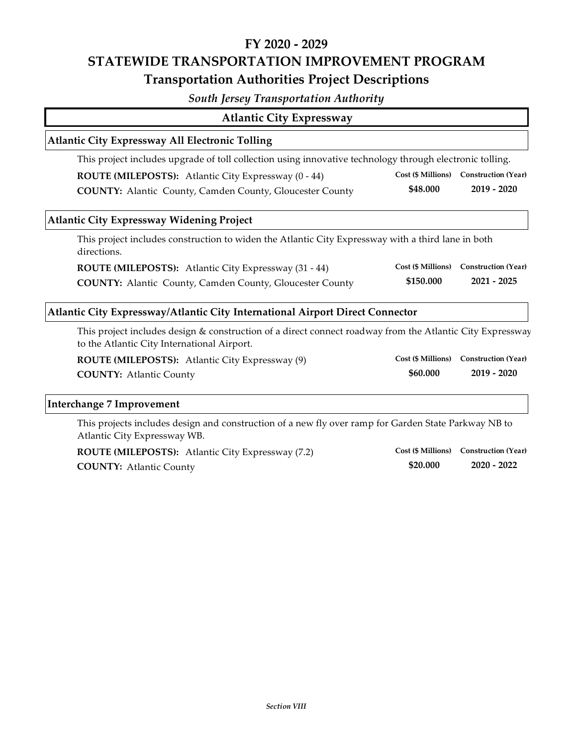# **FY 2020 ‐ 2029 STATEWIDE TRANSPORTATION IMPROVEMENT PROGRAM Transportation Authorities Project Descriptions**

## *South Jersey Transportation Authority*

| <b>Atlantic City Expressway</b>                                                                                                                          |                           |                            |
|----------------------------------------------------------------------------------------------------------------------------------------------------------|---------------------------|----------------------------|
| <b>Atlantic City Expressway All Electronic Tolling</b>                                                                                                   |                           |                            |
| This project includes upgrade of toll collection using innovative technology through electronic tolling.                                                 |                           |                            |
| ROUTE (MILEPOSTS): Atlantic City Expressway (0 - 44)                                                                                                     | <b>Cost (\$ Millions)</b> | <b>Construction (Year)</b> |
| <b>COUNTY:</b> Alantic County, Camden County, Gloucester County                                                                                          | \$48.000                  | $2019 - 2020$              |
| <b>Atlantic City Expressway Widening Project</b>                                                                                                         |                           |                            |
| This project includes construction to widen the Atlantic City Expressway with a third lane in both<br>directions.                                        |                           |                            |
| ROUTE (MILEPOSTS): Atlantic City Expressway (31 - 44)                                                                                                    | <b>Cost (\$ Millions)</b> | <b>Construction (Year)</b> |
| <b>COUNTY:</b> Alantic County, Camden County, Gloucester County                                                                                          | \$150.000                 | $2021 - 2025$              |
| Atlantic City Expressway/Atlantic City International Airport Direct Connector                                                                            |                           |                            |
| This project includes design & construction of a direct connect roadway from the Atlantic City Expressway<br>to the Atlantic City International Airport. |                           |                            |
| ROUTE (MILEPOSTS): Atlantic City Expressway (9)                                                                                                          | <b>Cost (\$ Millions)</b> | <b>Construction (Year)</b> |
| <b>COUNTY: Atlantic County</b>                                                                                                                           | \$60.000                  | $2019 - 2020$              |
| <b>Interchange 7 Improvement</b>                                                                                                                         |                           |                            |
|                                                                                                                                                          |                           |                            |

This projects includes design and construction of a new fly over ramp for Garden State Parkway NB to Atlantic City Expressway WB.

**COUNTY: 2020 ‐ 2022** Atlantic County **ROUTE (MILEPOSTS):** Atlantic City Expressway (7.2)

**\$20.000 Cost (\$ Millions) Construction (Year)**